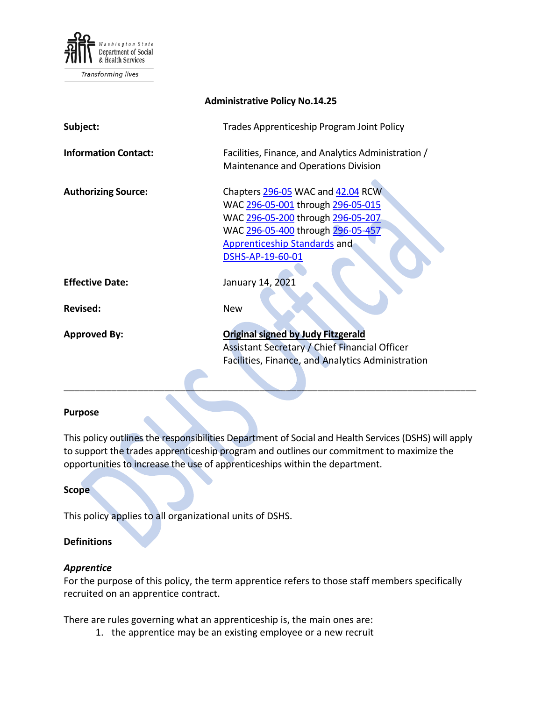

Transforming lives

| <b>Administrative Policy No.14.25</b> |                                                                                                                                                                                                             |
|---------------------------------------|-------------------------------------------------------------------------------------------------------------------------------------------------------------------------------------------------------------|
| Subject:                              | Trades Apprenticeship Program Joint Policy                                                                                                                                                                  |
| <b>Information Contact:</b>           | Facilities, Finance, and Analytics Administration /<br>Maintenance and Operations Division                                                                                                                  |
| <b>Authorizing Source:</b>            | Chapters 296-05 WAC and 42.04 RCW<br>WAC 296-05-001 through 296-05-015<br>WAC 296-05-200 through 296-05-207<br>WAC 296-05-400 through 296-05-457<br><b>Apprenticeship Standards and</b><br>DSHS-AP-19-60-01 |
| <b>Effective Date:</b>                | January 14, 2021                                                                                                                                                                                            |
| <b>Revised:</b>                       | <b>New</b>                                                                                                                                                                                                  |
| <b>Approved By:</b>                   | <b>Original signed by Judy Fitzgerald</b><br>Assistant Secretary / Chief Financial Officer<br>Facilities, Finance, and Analytics Administration                                                             |

#### **Purpose**

This policy outlines the responsibilities Department of Social and Health Services (DSHS) will apply to support the trades apprenticeship program and outlines our commitment to maximize the opportunities to increase the use of apprenticeships within the department.

\_\_\_\_\_\_\_\_\_\_\_\_\_\_\_\_\_\_\_\_\_\_\_\_\_\_\_\_\_\_\_\_\_\_\_\_\_\_\_\_\_\_\_\_\_\_\_\_\_\_\_\_\_\_\_\_\_\_\_\_\_\_\_\_\_\_\_\_\_\_\_\_\_\_\_\_\_\_

#### **Scope**

This policy applies to all organizational units of DSHS.

### **Definitions**

### *Apprentice*

For the purpose of this policy, the term apprentice refers to those staff members specifically recruited on an apprentice contract.

There are rules governing what an apprenticeship is, the main ones are:

1. the apprentice may be an existing employee or a new recruit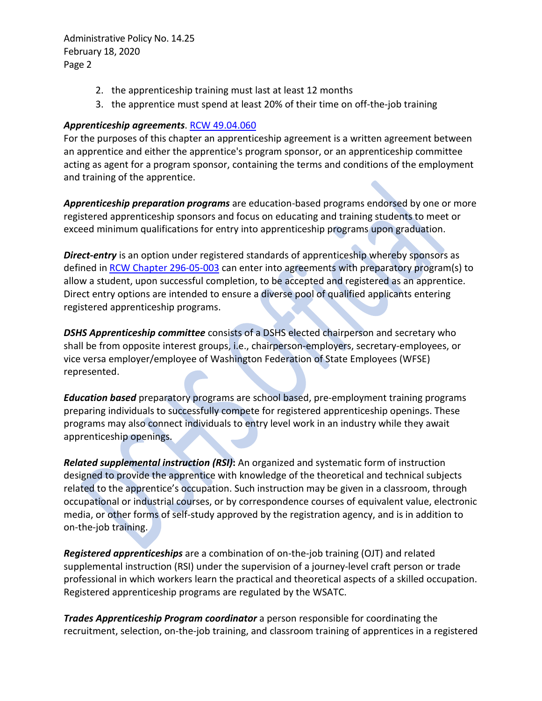- 2. the apprenticeship training must last at least 12 months
- 3. the apprentice must spend at least 20% of their time on off-the-job training

## *Apprenticeship agreements*. [RCW 49.04.060](https://app.leg.wa.gov/RCW/default.aspx?cite=49.04.060)

For the purposes of this chapter an apprenticeship agreement is a written agreement between an apprentice and either the apprentice's program sponsor, or an apprenticeship committee acting as agent for a program sponsor, containing the terms and conditions of the employment and training of the apprentice.

*Apprenticeship preparation programs* are education-based programs endorsed by one or more registered apprenticeship sponsors and focus on educating and training students to meet or exceed minimum qualifications for entry into apprenticeship programs upon graduation.

**Direct-entry** is an option under registered standards of apprenticeship whereby sponsors as defined in [RCW Chapter 296-05-003](https://apps.leg.wa.gov/WAC/default.aspx?cite=296-05-003) can enter into agreements with preparatory program(s) to allow a student, upon successful completion, to be accepted and registered as an apprentice. Direct entry options are intended to ensure a diverse pool of qualified applicants entering registered apprenticeship programs.

*DSHS Apprenticeship committee* consists of a DSHS elected chairperson and secretary who shall be from opposite interest groups, i.e., chairperson-employers, secretary-employees, or vice versa employer/employee of Washington Federation of State Employees (WFSE) represented.

*Education based* preparatory programs are school based, pre-employment training programs preparing individuals to successfully compete for registered apprenticeship openings. These programs may also connect individuals to entry level work in an industry while they await apprenticeship openings.

*Related supplemental instruction (RSI)***:** An organized and systematic form of instruction designed to provide the apprentice with knowledge of the theoretical and technical subjects related to the apprentice's occupation. Such instruction may be given in a classroom, through occupational or industrial courses, or by correspondence courses of equivalent value, electronic media, or other forms of self-study approved by the registration agency, and is in addition to on-the-job training.

*Registered apprenticeships* are a combination of on-the-job training (OJT) and related supplemental instruction (RSI) under the supervision of a journey-level craft person or trade professional in which workers learn the practical and theoretical aspects of a skilled occupation. Registered apprenticeship programs are regulated by the WSATC.

*Trades Apprenticeship Program coordinator* a person responsible for coordinating the recruitment, selection, on-the-job training, and classroom training of apprentices in a registered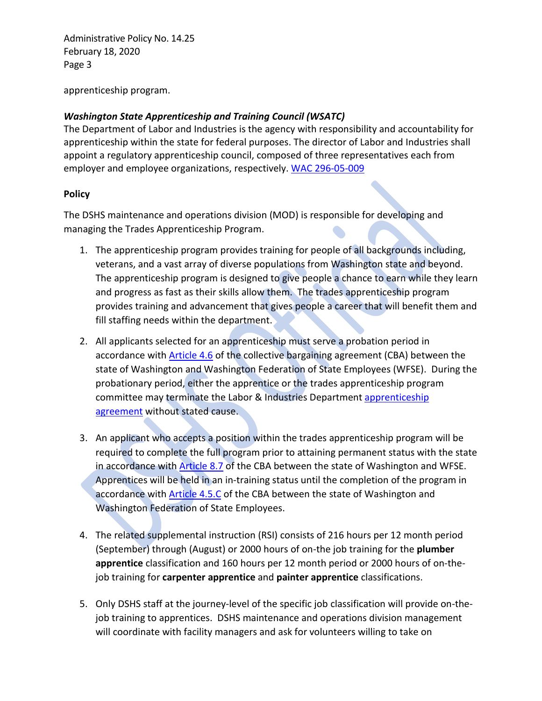apprenticeship program.

# *Washington State Apprenticeship and Training Council (WSATC)*

The Department of Labor and Industries is the agency with responsibility and accountability for apprenticeship within the state for federal purposes. The director of Labor and Industries shall appoint a regulatory apprenticeship council, composed of three representatives each from employer and employee organizations, respectively. [WAC 296-05-009](https://apps.leg.wa.gov/WAC/default.aspx?cite=296-05-009)

## **Policy**

The DSHS maintenance and operations division (MOD) is responsible for developing and managing the Trades Apprenticeship Program.

- 1. The apprenticeship program provides training for people of all backgrounds including, veterans, and a vast array of diverse populations from Washington state and beyond. The apprenticeship program is designed to give people a chance to earn while they learn and progress as fast as their skills allow them. The trades apprenticeship program provides training and advancement that gives people a career that will benefit them and fill staffing needs within the department.
- 2. All applicants selected for an apprenticeship must serve a probation period in accordance with [Article 4.6](https://ofm.wa.gov/sites/default/files/public/labor/agreements/19-21/wfse_gg.pdf) of the collective bargaining agreement (CBA) between the state of Washington and Washington Federation of State Employees (WFSE). During the probationary period, either the apprentice or the trades apprenticeship program committee may terminate the Labor & Industries Department [apprenticeship](https://lni.wa.gov/forms-publications/F100-016-000.doc)  [agreement](https://lni.wa.gov/forms-publications/F100-016-000.doc) without stated cause.
- 3. An applicant who accepts a position within the trades apprenticeship program will be required to complete the full program prior to attaining permanent status with the state in accordance with [Article 8.7](https://ofm.wa.gov/sites/default/files/public/labor/agreements/19-21/wfse_gg.pdf) of the CBA between the state of Washington and WFSE. Apprentices will be held in an in-training status until the completion of the program in accordance with [Article 4.5.C](https://ofm.wa.gov/sites/default/files/public/labor/agreements/19-21/wfse_gg.pdf) of the CBA between the state of Washington and Washington Federation of State Employees.
- 4. The related supplemental instruction (RSI) consists of 216 hours per 12 month period (September) through (August) or 2000 hours of on-the job training for the **plumber apprentice** classification and 160 hours per 12 month period or 2000 hours of on-thejob training for **carpenter apprentice** and **painter apprentice** classifications.
- 5. Only DSHS staff at the journey-level of the specific job classification will provide on-thejob training to apprentices. DSHS maintenance and operations division management will coordinate with facility managers and ask for volunteers willing to take on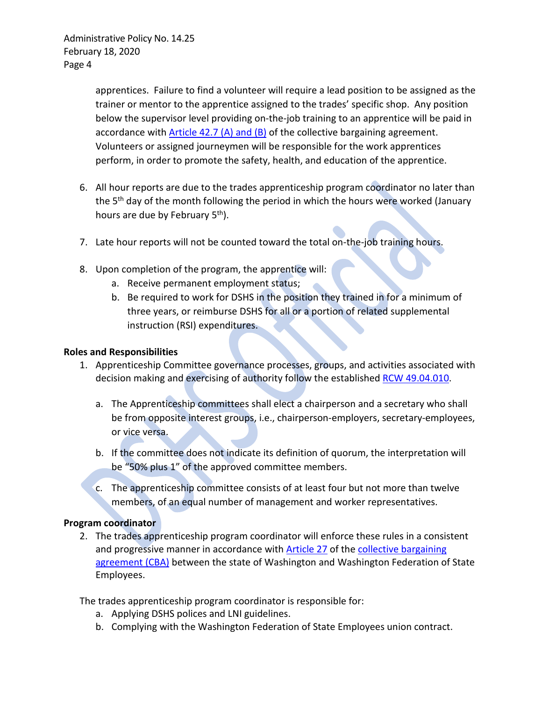apprentices. Failure to find a volunteer will require a lead position to be assigned as the trainer or mentor to the apprentice assigned to the trades' specific shop. Any position below the supervisor level providing on-the-job training to an apprentice will be paid in accordance with [Article 42.7 \(A\) and \(B\)](https://ofm.wa.gov/sites/default/files/public/labor/agreements/19-21/wfse_gg.pdf) of the collective bargaining agreement. Volunteers or assigned journeymen will be responsible for the work apprentices perform, in order to promote the safety, health, and education of the apprentice.

- 6. All hour reports are due to the trades apprenticeship program coordinator no later than the  $5<sup>th</sup>$  day of the month following the period in which the hours were worked (January hours are due by February 5<sup>th</sup>).
- 7. Late hour reports will not be counted toward the total on-the-job training hours.
- 8. Upon completion of the program, the apprentice will:
	- a. Receive permanent employment status;
	- b. Be required to work for DSHS in the position they trained in for a minimum of three years, or reimburse DSHS for all or a portion of related supplemental instruction (RSI) expenditures.

### **Roles and Responsibilities**

- 1. Apprenticeship Committee governance processes, groups, and activities associated with decision making and exercising of authority follow the established [RCW 49.04.010.](http://app.leg.wa.gov/RCW/default.aspx?cite=49.04.010)
	- a. The Apprenticeship committees shall elect a chairperson and a secretary who shall be from opposite interest groups, i.e., chairperson-employers, secretary-employees, or vice versa.
	- b. If the committee does not indicate its definition of quorum, the interpretation will be "50% plus 1" of the approved committee members.
	- c. The apprenticeship committee consists of at least four but not more than twelve members, of an equal number of management and worker representatives.

### **Program coordinator**

2. The trades apprenticeship program coordinator will enforce these rules in a consistent and progressive manner in accordance with **Article 27** of the collective bargaining [agreement \(CBA\)](https://ofm.wa.gov/sites/default/files/public/labor/agreements/19-21/wfse_gg.pdf) between the state of Washington and Washington Federation of State Employees.

The trades apprenticeship program coordinator is responsible for:

- a. Applying DSHS polices and LNI guidelines.
- b. Complying with the Washington Federation of State Employees union contract.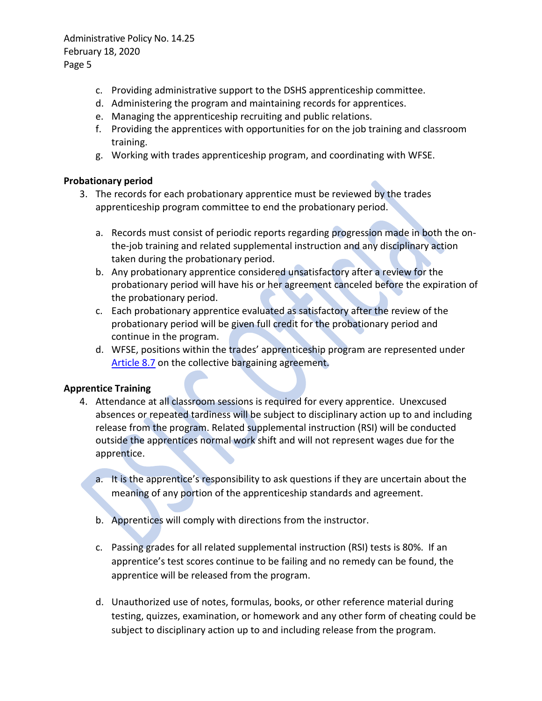- c. Providing administrative support to the DSHS apprenticeship committee.
- d. Administering the program and maintaining records for apprentices.
- e. Managing the apprenticeship recruiting and public relations.
- f. Providing the apprentices with opportunities for on the job training and classroom training.
- g. Working with trades apprenticeship program, and coordinating with WFSE.

### **Probationary period**

- 3. The records for each probationary apprentice must be reviewed by the trades apprenticeship program committee to end the probationary period.
	- a. Records must consist of periodic reports regarding progression made in both the onthe-job training and related supplemental instruction and any disciplinary action taken during the probationary period.
	- b. Any probationary apprentice considered unsatisfactory after a review for the probationary period will have his or her agreement canceled before the expiration of the probationary period.
	- c. Each probationary apprentice evaluated as satisfactory after the review of the probationary period will be given full credit for the probationary period and continue in the program.
	- d. WFSE, positions within the trades' apprenticeship program are represented under [Article 8.7](https://ofm.wa.gov/sites/default/files/public/labor/agreements/19-21/wfse_gg.pdf) on the collective bargaining agreement.

### **Apprentice Training**

- 4. Attendance at all classroom sessions is required for every apprentice. Unexcused absences or repeated tardiness will be subject to disciplinary action up to and including release from the program. Related supplemental instruction (RSI) will be conducted outside the apprentices normal work shift and will not represent wages due for the apprentice.
	- a. It is the apprentice's responsibility to ask questions if they are uncertain about the meaning of any portion of the apprenticeship standards and agreement.
	- b. Apprentices will comply with directions from the instructor.
	- c. Passing grades for all related supplemental instruction (RSI) tests is 80%. If an apprentice's test scores continue to be failing and no remedy can be found, the apprentice will be released from the program.
	- d. Unauthorized use of notes, formulas, books, or other reference material during testing, quizzes, examination, or homework and any other form of cheating could be subject to disciplinary action up to and including release from the program.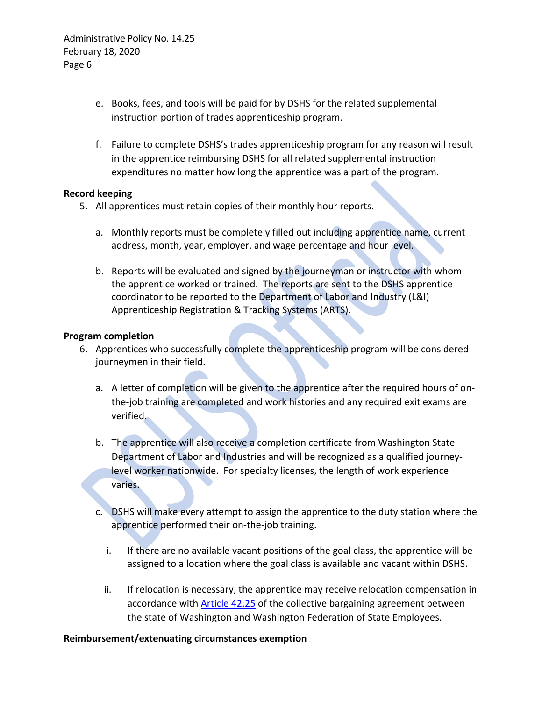- e. Books, fees, and tools will be paid for by DSHS for the related supplemental instruction portion of trades apprenticeship program.
- f. Failure to complete DSHS's trades apprenticeship program for any reason will result in the apprentice reimbursing DSHS for all related supplemental instruction expenditures no matter how long the apprentice was a part of the program.

### **Record keeping**

- 5. All apprentices must retain copies of their monthly hour reports.
	- a. Monthly reports must be completely filled out including apprentice name, current address, month, year, employer, and wage percentage and hour level.
	- b. Reports will be evaluated and signed by the journeyman or instructor with whom the apprentice worked or trained. The reports are sent to the DSHS apprentice coordinator to be reported to the Department of Labor and Industry (L&I) Apprenticeship Registration & Tracking Systems (ARTS).

#### **Program completion**

- 6. Apprentices who successfully complete the apprenticeship program will be considered journeymen in their field.
	- a. A letter of completion will be given to the apprentice after the required hours of onthe-job training are completed and work histories and any required exit exams are verified.
	- b. The apprentice will also receive a completion certificate from Washington State Department of Labor and Industries and will be recognized as a qualified journeylevel worker nationwide. For specialty licenses, the length of work experience varies.
	- c. DSHS will make every attempt to assign the apprentice to the duty station where the apprentice performed their on-the-job training.
		- i. If there are no available vacant positions of the goal class, the apprentice will be assigned to a location where the goal class is available and vacant within DSHS.
		- ii. If relocation is necessary, the apprentice may receive relocation compensation in accordance with [Article 42.25](https://ofm.wa.gov/sites/default/files/public/labor/agreements/19-21/wfse_gg.pdf) of the collective bargaining agreement between the state of Washington and Washington Federation of State Employees.

### **Reimbursement/extenuating circumstances exemption**